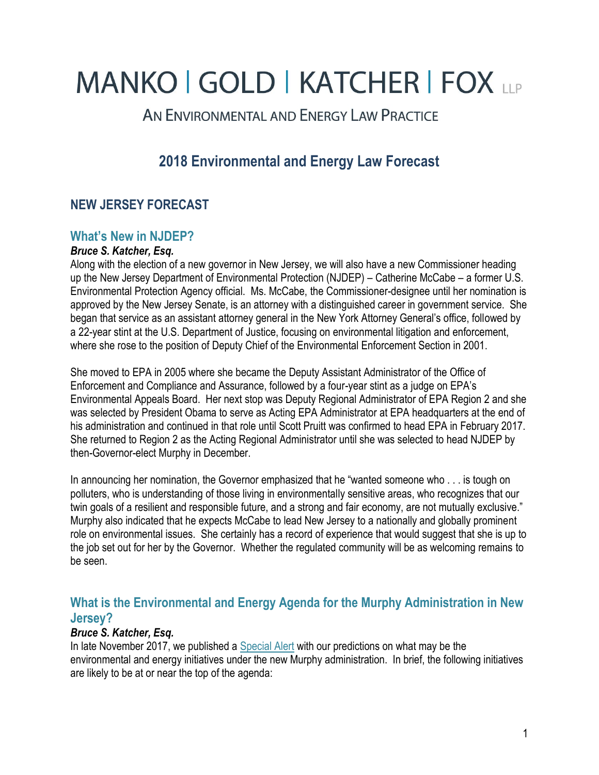# **MANKO | GOLD | KATCHER | FOX LLP**

AN ENVIRONMENTAL AND ENERGY LAW PRACTICE

# **2018 Environmental and Energy Law Forecast**

# **NEW JERSEY FORECAST**

### **What's New in NJDEP?**

#### *Bruce S. Katcher, Esq.*

Along with the election of a new governor in New Jersey, we will also have a new Commissioner heading up the New Jersey Department of Environmental Protection (NJDEP) – Catherine McCabe – a former U.S. Environmental Protection Agency official. Ms. McCabe, the Commissioner-designee until her nomination is approved by the New Jersey Senate, is an attorney with a distinguished career in government service. She began that service as an assistant attorney general in the New York Attorney General's office, followed by a 22-year stint at the U.S. Department of Justice, focusing on environmental litigation and enforcement, where she rose to the position of Deputy Chief of the Environmental Enforcement Section in 2001.

She moved to EPA in 2005 where she became the Deputy Assistant Administrator of the Office of Enforcement and Compliance and Assurance, followed by a four-year stint as a judge on EPA's Environmental Appeals Board. Her next stop was Deputy Regional Administrator of EPA Region 2 and she was selected by President Obama to serve as Acting EPA Administrator at EPA headquarters at the end of his administration and continued in that role until Scott Pruitt was confirmed to head EPA in February 2017. She returned to Region 2 as the Acting Regional Administrator until she was selected to head NJDEP by then-Governor-elect Murphy in December.

In announcing her nomination, the Governor emphasized that he "wanted someone who . . . is tough on polluters, who is understanding of those living in environmentally sensitive areas, who recognizes that our twin goals of a resilient and responsible future, and a strong and fair economy, are not mutually exclusive." Murphy also indicated that he expects McCabe to lead New Jersey to a nationally and globally prominent role on environmental issues. She certainly has a record of experience that would suggest that she is up to the job set out for her by the Governor. Whether the regulated community will be as welcoming remains to be seen.

# **What is the Environmental and Energy Agenda for the Murphy Administration in New Jersey?**

#### *Bruce S. Katcher, Esq.*

In late November 2017, we published a [Special Alert](https://www.mankogold.com/publications-NJ-Governor-Elect-Murphy-Environmental-Energy-Agenda.html) with our predictions on what may be the environmental and energy initiatives under the new Murphy administration. In brief, the following initiatives are likely to be at or near the top of the agenda: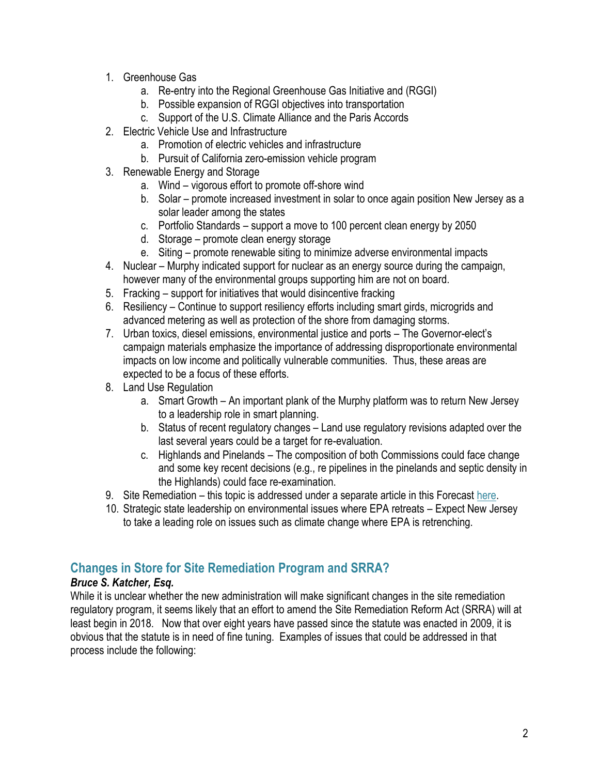- 1. Greenhouse Gas
	- a. Re-entry into the Regional Greenhouse Gas Initiative and (RGGI)
	- b. Possible expansion of RGGI objectives into transportation
	- c. Support of the U.S. Climate Alliance and the Paris Accords
- 2. Electric Vehicle Use and Infrastructure
	- a. Promotion of electric vehicles and infrastructure
	- b. Pursuit of California zero-emission vehicle program
- 3. Renewable Energy and Storage
	- a. Wind vigorous effort to promote off-shore wind
	- b. Solar promote increased investment in solar to once again position New Jersey as a solar leader among the states
	- c. Portfolio Standards support a move to 100 percent clean energy by 2050
	- d. Storage promote clean energy storage
	- e. Siting promote renewable siting to minimize adverse environmental impacts
- 4. Nuclear Murphy indicated support for nuclear as an energy source during the campaign, however many of the environmental groups supporting him are not on board.
- 5. Fracking support for initiatives that would disincentive fracking
- 6. Resiliency Continue to support resiliency efforts including smart girds, microgrids and advanced metering as well as protection of the shore from damaging storms.
- 7. Urban toxics, diesel emissions, environmental justice and ports The Governor-elect's campaign materials emphasize the importance of addressing disproportionate environmental impacts on low income and politically vulnerable communities. Thus, these areas are expected to be a focus of these efforts.
- 8. Land Use Regulation
	- a. Smart Growth An important plank of the Murphy platform was to return New Jersey to a leadership role in smart planning.
	- b. Status of recent regulatory changes Land use regulatory revisions adapted over the last several years could be a target for re-evaluation.
	- c. Highlands and Pinelands The composition of both Commissions could face change and some key recent decisions (e.g., re pipelines in the pinelands and septic density in the Highlands) could face re-examination.
- 9. Site Remediation this topic is addressed under a separate article in this Forecast [here.](https://www.mankogold.com/publications-SRRA-Remedial-Action-Permits-Direct-Oversight-Liability-Reform.html)
- 10. Strategic state leadership on environmental issues where EPA retreats Expect New Jersey to take a leading role on issues such as climate change where EPA is retrenching.

# **Changes in Store for Site Remediation Program and SRRA?**

#### *Bruce S. Katcher, Esq.*

While it is unclear whether the new administration will make significant changes in the site remediation regulatory program, it seems likely that an effort to amend the Site Remediation Reform Act (SRRA) will at least begin in 2018. Now that over eight years have passed since the statute was enacted in 2009, it is obvious that the statute is in need of fine tuning. Examples of issues that could be addressed in that process include the following: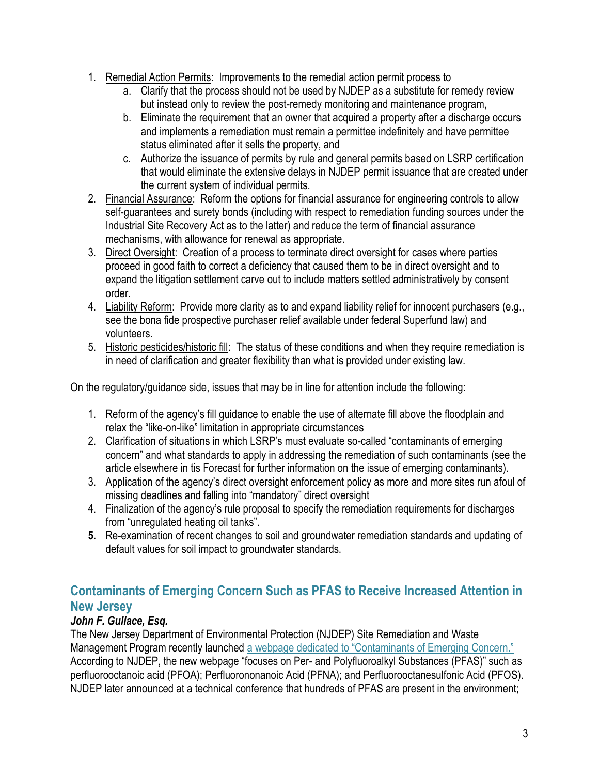- 1. Remedial Action Permits: Improvements to the remedial action permit process to
	- a. Clarify that the process should not be used by NJDEP as a substitute for remedy review but instead only to review the post-remedy monitoring and maintenance program,
	- b. Eliminate the requirement that an owner that acquired a property after a discharge occurs and implements a remediation must remain a permittee indefinitely and have permittee status eliminated after it sells the property, and
	- c. Authorize the issuance of permits by rule and general permits based on LSRP certification that would eliminate the extensive delays in NJDEP permit issuance that are created under the current system of individual permits.
- 2. Financial Assurance: Reform the options for financial assurance for engineering controls to allow self-guarantees and surety bonds (including with respect to remediation funding sources under the Industrial Site Recovery Act as to the latter) and reduce the term of financial assurance mechanisms, with allowance for renewal as appropriate.
- 3. Direct Oversight: Creation of a process to terminate direct oversight for cases where parties proceed in good faith to correct a deficiency that caused them to be in direct oversight and to expand the litigation settlement carve out to include matters settled administratively by consent order.
- 4. Liability Reform: Provide more clarity as to and expand liability relief for innocent purchasers (e.g., see the bona fide prospective purchaser relief available under federal Superfund law) and volunteers.
- 5. Historic pesticides/historic fill: The status of these conditions and when they require remediation is in need of clarification and greater flexibility than what is provided under existing law.

On the regulatory/guidance side, issues that may be in line for attention include the following:

- 1. Reform of the agency's fill guidance to enable the use of alternate fill above the floodplain and relax the "like-on-like" limitation in appropriate circumstances
- 2. Clarification of situations in which LSRP's must evaluate so-called "contaminants of emerging concern" and what standards to apply in addressing the remediation of such contaminants (see the article elsewhere in tis Forecast for further information on the issue of emerging contaminants).
- 3. Application of the agency's direct oversight enforcement policy as more and more sites run afoul of missing deadlines and falling into "mandatory" direct oversight
- 4. Finalization of the agency's rule proposal to specify the remediation requirements for discharges from "unregulated heating oil tanks".
- **5.** Re-examination of recent changes to soil and groundwater remediation standards and updating of default values for soil impact to groundwater standards.

# **Contaminants of Emerging Concern Such as PFAS to Receive Increased Attention in New Jersey**

# *John F. Gullace, Esq.*

The New Jersey Department of Environmental Protection (NJDEP) Site Remediation and Waste Management Program recently launched a [webpage dedicated to "Contaminants of Emerging Concern."](http://www.nj.gov/dep/srp/emerging-contaminants/) According to NJDEP, the new webpage "focuses on Per- and Polyfluoroalkyl Substances (PFAS)" such as perfluorooctanoic acid (PFOA); Perfluorononanoic Acid (PFNA); and Perfluorooctanesulfonic Acid (PFOS). NJDEP later announced at a technical conference that hundreds of PFAS are present in the environment;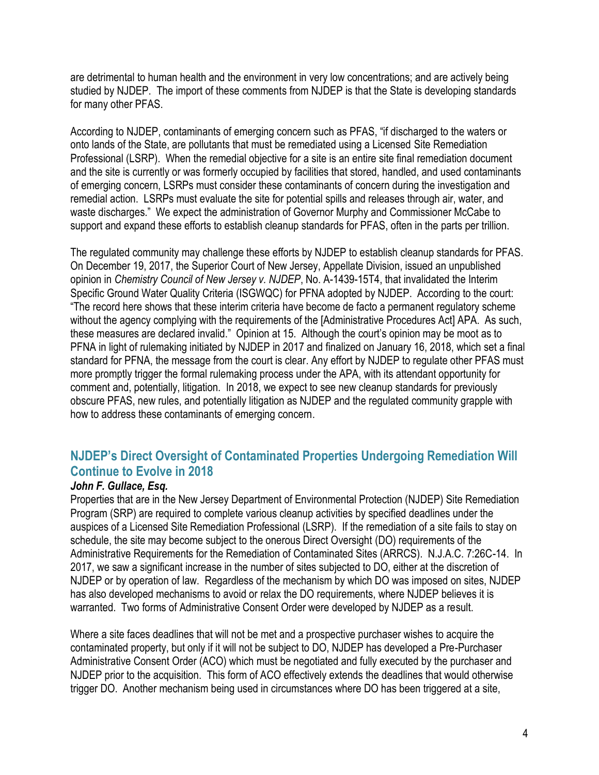are detrimental to human health and the environment in very low concentrations; and are actively being studied by NJDEP. The import of these comments from NJDEP is that the State is developing standards for many other PFAS.

According to NJDEP, contaminants of emerging concern such as PFAS, "if discharged to the waters or onto lands of the State, are pollutants that must be remediated using a Licensed Site Remediation Professional (LSRP). When the remedial objective for a site is an entire site final remediation document and the site is currently or was formerly occupied by facilities that stored, handled, and used contaminants of emerging concern, LSRPs must consider these contaminants of concern during the investigation and remedial action. LSRPs must evaluate the site for potential spills and releases through air, water, and waste discharges." We expect the administration of Governor Murphy and Commissioner McCabe to support and expand these efforts to establish cleanup standards for PFAS, often in the parts per trillion.

The regulated community may challenge these efforts by NJDEP to establish cleanup standards for PFAS. On December 19, 2017, the Superior Court of New Jersey, Appellate Division, issued an unpublished opinion in *Chemistry Council of New Jersey v. NJDEP*, No. A-1439-15T4, that invalidated the Interim Specific Ground Water Quality Criteria (ISGWQC) for PFNA adopted by NJDEP. According to the court: "The record here shows that these interim criteria have become de facto a permanent regulatory scheme without the agency complying with the requirements of the [Administrative Procedures Act] APA. As such, these measures are declared invalid." Opinion at 15. Although the court's opinion may be moot as to PFNA in light of rulemaking initiated by NJDEP in 2017 and finalized on January 16, 2018, which set a final standard for PFNA, the message from the court is clear. Any effort by NJDEP to regulate other PFAS must more promptly trigger the formal rulemaking process under the APA, with its attendant opportunity for comment and, potentially, litigation. In 2018, we expect to see new cleanup standards for previously obscure PFAS, new rules, and potentially litigation as NJDEP and the regulated community grapple with how to address these contaminants of emerging concern.

# **NJDEP's Direct Oversight of Contaminated Properties Undergoing Remediation Will Continue to Evolve in 2018**

#### *John F. Gullace, Esq.*

Properties that are in the New Jersey Department of Environmental Protection (NJDEP) Site Remediation Program (SRP) are required to complete various cleanup activities by specified deadlines under the auspices of a Licensed Site Remediation Professional (LSRP). If the remediation of a site fails to stay on schedule, the site may become subject to the onerous Direct Oversight (DO) requirements of the Administrative Requirements for the Remediation of Contaminated Sites (ARRCS). N.J.A.C. 7:26C-14. In 2017, we saw a significant increase in the number of sites subjected to DO, either at the discretion of NJDEP or by operation of law. Regardless of the mechanism by which DO was imposed on sites, NJDEP has also developed mechanisms to avoid or relax the DO requirements, where NJDEP believes it is warranted. Two forms of Administrative Consent Order were developed by NJDEP as a result.

Where a site faces deadlines that will not be met and a prospective purchaser wishes to acquire the contaminated property, but only if it will not be subject to DO, NJDEP has developed a Pre-Purchaser Administrative Consent Order (ACO) which must be negotiated and fully executed by the purchaser and NJDEP prior to the acquisition. This form of ACO effectively extends the deadlines that would otherwise trigger DO. Another mechanism being used in circumstances where DO has been triggered at a site,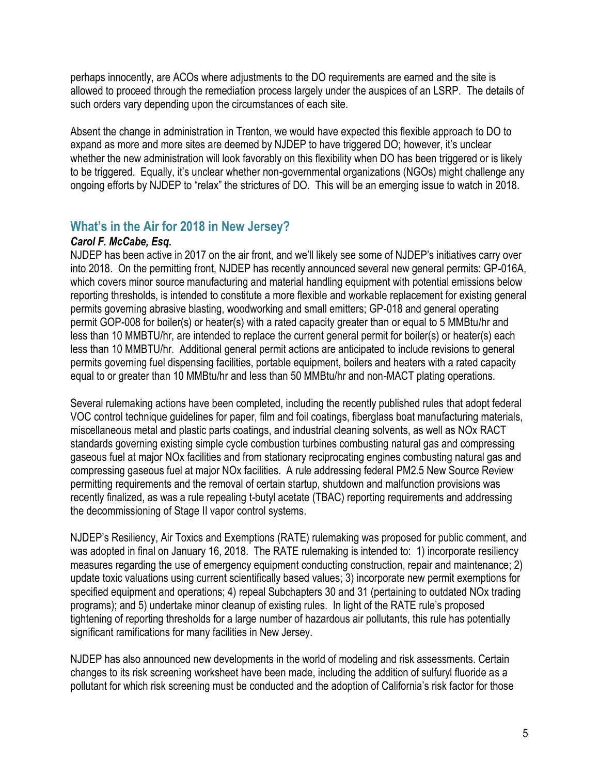perhaps innocently, are ACOs where adjustments to the DO requirements are earned and the site is allowed to proceed through the remediation process largely under the auspices of an LSRP. The details of such orders vary depending upon the circumstances of each site.

Absent the change in administration in Trenton, we would have expected this flexible approach to DO to expand as more and more sites are deemed by NJDEP to have triggered DO; however, it's unclear whether the new administration will look favorably on this flexibility when DO has been triggered or is likely to be triggered. Equally, it's unclear whether non-governmental organizations (NGOs) might challenge any ongoing efforts by NJDEP to "relax" the strictures of DO. This will be an emerging issue to watch in 2018.

#### **What's in the Air for 2018 in New Jersey?**

#### *Carol F. McCabe, Esq.*

NJDEP has been active in 2017 on the air front, and we'll likely see some of NJDEP's initiatives carry over into 2018. On the permitting front, NJDEP has recently announced several new general permits: GP-016A, which covers minor source manufacturing and material handling equipment with potential emissions below reporting thresholds, is intended to constitute a more flexible and workable replacement for existing general permits governing abrasive blasting, woodworking and small emitters; GP-018 and general operating permit GOP-008 for boiler(s) or heater(s) with a rated capacity greater than or equal to 5 MMBtu/hr and less than 10 MMBTU/hr, are intended to replace the current general permit for boiler(s) or heater(s) each less than 10 MMBTU/hr. Additional general permit actions are anticipated to include revisions to general permits governing fuel dispensing facilities, portable equipment, boilers and heaters with a rated capacity equal to or greater than 10 MMBtu/hr and less than 50 MMBtu/hr and non-MACT plating operations.

Several rulemaking actions have been completed, including the recently published rules that adopt federal VOC control technique guidelines for paper, film and foil coatings, fiberglass boat manufacturing materials, miscellaneous metal and plastic parts coatings, and industrial cleaning solvents, as well as NOx RACT standards governing existing simple cycle combustion turbines combusting natural gas and compressing gaseous fuel at major NOx facilities and from stationary reciprocating engines combusting natural gas and compressing gaseous fuel at major NOx facilities. A rule addressing federal PM2.5 New Source Review permitting requirements and the removal of certain startup, shutdown and malfunction provisions was recently finalized, as was a rule repealing t-butyl acetate (TBAC) reporting requirements and addressing the decommissioning of Stage II vapor control systems.

NJDEP's Resiliency, Air Toxics and Exemptions (RATE) rulemaking was proposed for public comment, and was adopted in final on January 16, 2018. The RATE rulemaking is intended to: 1) incorporate resiliency measures regarding the use of emergency equipment conducting construction, repair and maintenance; 2) update toxic valuations using current scientifically based values; 3) incorporate new permit exemptions for specified equipment and operations; 4) repeal Subchapters 30 and 31 (pertaining to outdated NOx trading programs); and 5) undertake minor cleanup of existing rules. In light of the RATE rule's proposed tightening of reporting thresholds for a large number of hazardous air pollutants, this rule has potentially significant ramifications for many facilities in New Jersey.

NJDEP has also announced new developments in the world of modeling and risk assessments. Certain changes to its risk screening worksheet have been made, including the addition of sulfuryl fluoride as a pollutant for which risk screening must be conducted and the adoption of California's risk factor for those